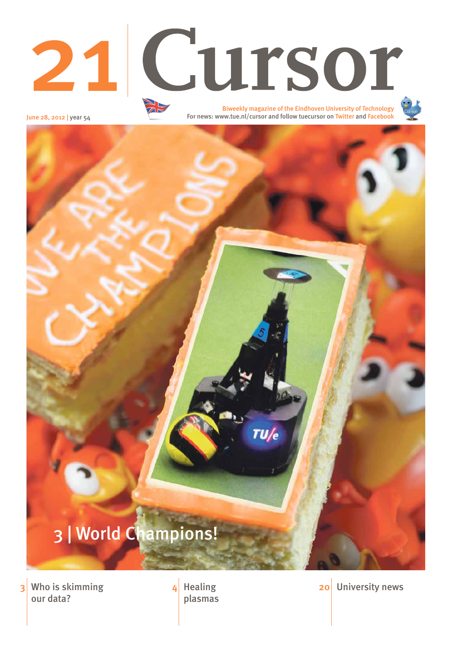June 28, 2012 | year 54

 $TU/e$ 

### **3** Who is skimming  $\overline{4}$  Healing our data?

plasmas

4 Healing 20 University news

# 3 | World Champions!



For news: www.tue.nl/cursor and follow tuecursor on Twitter and Facebook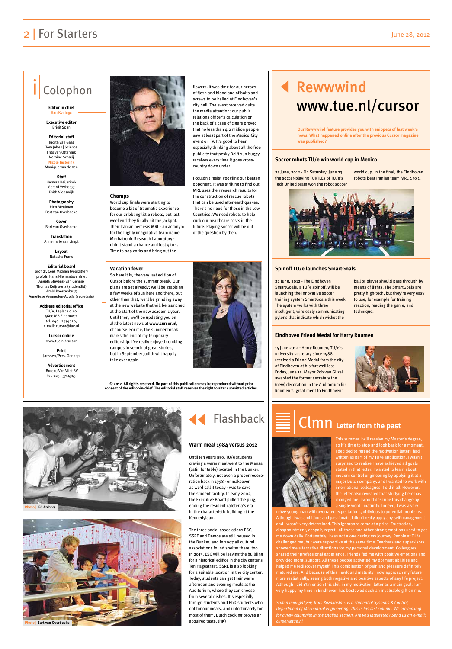# Rewwwind www.tue.nl/cursor

## 2 | For Starters June 28, 2012

## Colophon

**Editor in chief Han Konings**

**Executive editor**  Brigit Span

**Editorial staff** Judith van Gaal Tom Jeltes | Science Frits van Otterdijk Norbine Schalij **Nicole Testerink**  Monique van de Ven

**Staff**  Herman Beijerinck Gerard Verhoogt Enith Vlooswijk

**Photography**  Rien Meulman Bart van Overbeeke

**Cover** Bart van Overbeeke

**Translation** Annemarie van Limpt

> **Layout** Natasha Franc

#### **Editorial board**

prof.dr. Cees Midden (voorzitter) prof.dr. Hans Niemantsverdriet Angela Stevens- van Gennip Thomas Reijnaerts (studentlid) Arold Roestenburg Anneliese Vermeulen-Adolfs (secretaris)

**Address editorial office**

TU/e, Laplace 0.40 5600 MB Eindhoven tel. 040 - 2474020, e-mail: cursor@tue.nl

**Cursor online** www.tue.nl/cursor

**Print** Janssen/Pers, Gennep

**Advertisement** Bureau Van Vliet BV tel. 023 - 5714745



**© 2012. All rights reserved. No part of this publication may be reproduced without prior consent of the editor-in-chief. The editorial staff reserves the right to alter submitted articles.**

25 June, 2012 - On Saturday, June 23, the soccer-playing TURTLEs of TU/e's Tech United team won the robot soccer

> This summer I will receive my Master's degree, so it's time to stop and look back for a moment. I decided to reread the motivation letter I had written as part of my TU/e application. I wasn't surprised to realize I have achieved all goals stated in that letter. I wanted to learn about modern control engineering by applying it at a major Dutch company, and I wanted to work with international colleagues. I did it all. However, the letter also revealed that studying he

world cup. In the final, the Eindhoven robots beat Iranian team MRL 4 to 1.



22 June, 2012 - The Eindhoven SmartGoals, a TU/e spinoff, will be launching the innovative soccer training system SmartGoals this week. The system works with three intelligent, wirelessly communicating pylons that indicate which wicket the

> anged me. I would describe this change by a single word - maturity. Indeed, I was a very

ball or player should pass through by means of lights. The SmartGoals are pretty high-tech, but they're very easy to use, for example for training reaction, reading the game, and technique.

15 June 2012 - Harry Roumen, TU/e's university secretary since 1988, received a Friend Medal from the city of Eindhoven at his farewell last Friday, June 15. Mayor Rob van Gijzel awarded the former secretary the (new) decoration in the Auditorium for Roumen's 'great merit to Eindhoven'.



#### **Soccer robots TU/e win world cup in Mexico**

#### **Spinoff TU/e launches SmartGoals**

#### **Eindhoven Friend Medal for Harry Roumen**

**Our Rewwwind feature provides you with snippets of last week's news. What happened online after the previous Cursor magazine was published?**

naïve young man with overrated expectations, oblivious to potential problems. Although I was ambitious and passionate, I didn't really apply any self-management and I wasn't very determined. This ignorance came at a price. Frustration, disappointment, despair, regret - all these and other strong emotions used to get me down daily. Fortunately, I was not alone during my journey. People at TU/e challenged me, but were supportive at the same time. Teachers and supervisors showed me alternative directions for my personal development. Colleagues shared their professional experience. Friends fed me with positive emotions and provided moral support. All these people activated my dormant abilities and helped me rediscover myself. This combination of pain and pleasure definitely matured me. And because of this newfound maturity I now approach my future more realistically, seeing both negative and positive aspects of any life project. Although I didn't mention this skill in my motivation letter as a main goal, I am very happy my time in Eindhoven has bestowed such an invaluable gift on me.

*Sultan Imangaliyev, from Kazakhstan, is a student of Systems & Control, Department of Mechanical Engineering. This is his last column. We are looking for a new columnist in the English section. Are you interested? Send us an e-mail: cursor@tue.nl*

# Clmn **Letter from the past**

Until ten years ago, TU/e students craving a warm meal went to the Mensa (Latin for table) located in the Bunker. Unfortunately, not even a proper redecoration back in 1998 - or makeover, as we'd call it today - was to save the student facility. In early 2002,

the Executive Board pulled the plug, ending the resident cafeteria's era in the characteristic building at the Kennedylaan.

The three social associations ESC, SSRE and Demos are still housed in the Bunker, and in 2007 all cultural associations found shelter there, too. In 2013, ESC will be leaving the building for a historical edifice in the city center's Ten Hagestraat. SSRE is also looking for a suitable location in the city center. Today, students can get their warm afternoon and evening meals at the Auditorium, where they can choose from several dishes. It's especially foreign students and PhD students who opt for our meals, and unfortunately for most of them, Dutch cooking proves an acquired taste. (HK)



#### **Warm meal 1984 versus 2012**







#### **Champs**

World cup finals were starting to become a bit of traumatic experience for our dribbling little robots, but last weekend they finally hit the jackpot. Their Iranian nemesis MRL - an acronym for the highly imaginative team name Mechatronic Research Laboratory didn't stand a chance and lost 4 to 1. Time to pop corks and bring out the

#### **Vacation fever**

So here it is, the very last edition of Cursor before the summer break. Our plans are set already: we'll be grabbing a few weeks of sun here and there, but other than that, we'll be grinding away at the new website that will be launched at the start of the new academic year. Until then, we'll be updating you on all the latest news at **www.cursor.nl**, of course. For me, the summer break marks the end of my temporary editorship. I've really enjoyed combing campus in search of great stories, but in September Judith will happily take over again.



flowers. It was time for our heroes of flesh and blood and of bolts and screws to be hailed at Eindhoven's city hall. The event received quite the media attention: our public relations officer's calculation on the back of a case of cigars proved that no less than 4.2 million people saw at least part of the Mexico-City event on TV. It's good to hear, especially thinking about all the free publicity that pesky Delft sun buggy receives every time it goes cross-

country down under.

I couldn't resist googling our beaten opponent. It was striking to find out MRL uses their research results for the construction of rescue robots that can be used after earthquakes. There's no need for those in the Low Countries. We need robots to help curb our healthcare costs in the future. Playing soccer will be out of the question by then.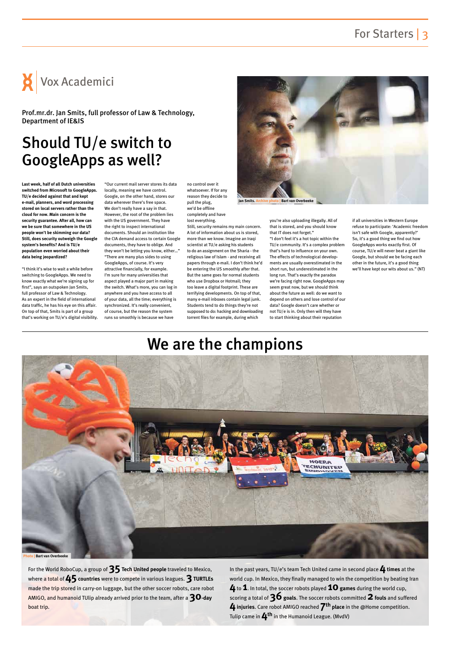## For Starters | 3

# Should TU/e switch to GoogleApps as well?

**Last week, half of all Dutch universities switched from Microsoft to GoogleApps. TU/e decided against that and kept e-mail, planners, and word processing stored on local servers rather than the cloud for now. Main concern is the security guarantee. After all, how can we be sure that somewhere in the US people won't be skimming our data? Still, does security outweigh the Google system's benefits? And is TU/e population even worried about their data being jeopardized?**

"I think it's wise to wait a while before switching to GoogleApps. We need to know exactly what we're signing up for first", says an outspoken Jan Smits, full professor of Law & Technology. As an expert in the field of international data traffic, he has his eye on this affair. On top of that, Smits is part of a group that's working on TU/e's digital visibility.

"Our current mail server stores its data locally, meaning we have control. Google, on the other hand, stores our data wherever there's free space. We don't really have a say in that. However, the root of the problem lies with the US government. They have the right to inspect international documents. Should an institution like the CIA demand access to certain Google documents, they have to oblige. And they won't be letting you know, either…" "There are many plus sides to using GoogleApps, of course. It's very attractive financially, for example. I'm sure for many universities that aspect played a major part in making the switch. What's more, you can log in anywhere and you have access to all of your data, all the time; everything is synchronized. It's really convenient, of course, but the reason the system runs so smoothly is because we have

no control over it whatsoever. If for any reason they decide to pull the plug, we'd be offline completely and have lost everything.

Still, security remains my main concern. A lot of information about us is stored, more than we know. Imagine an Iraqi scientist at TU/e asking his students to do an assignment on the Sharia - the religious law of Islam - and receiving all papers through e-mail. I don't think he'd be entering the US smoothly after that. But the same goes for normal students who use Dropbox or Hotmail; they too leave a digital footprint. These are terrifying developments. On top of that, many e-mail inboxes contain legal junk. Students tend to do things they're not supposed to do: hacking and downloading torrent files for example, during which

you're also uploading illegally. All of that is stored, and you should know that IT does not forget." "I don't feel it's a hot topic within the TU/e community. It's a complex problem that's hard to influence on your own. The effects of technological developments are usually overestimated in the short run, but underestimated in the long run. That's exactly the paradox we're facing right now. GoogleApps may seem great now, but we should think about the future as well: do we want to depend on others and lose control of our data? Google doesn't care whether or not TU/e is in. Only then will they have to start thinking about their reputation

if all universities in Western Europe refuse to participate: 'Academic freedom isn't safe with Google, apparently?' So, it's a good thing we find out how GoogleApps works exactly first. Of course, TU/e will never beat a giant like Google, but should we be facing each other in the future, it's a good thing we'll have kept our wits about us." (NT)



Prof.mr.dr. Jan Smits, full professor of Law & Technology, Department of IE&IS



**Jan Smits. Archive photo | Bart van Overbeeke**

## We are the champions

For the World RoboCup, a group of **35Tech United people** traveled to Mexico, where a total of 45 countries were to compete in various leagues. **3 TURTLEs** made the trip stored in carry-on luggage, but the other soccer robots, care robot AMIGO, and humanoid TUlip already arrived prior to the team, after a **30-day** boat trip.

In the past years, TU/e's team Tech United came in second place **4times** at the world cup. In Mexico, they finally managed to win the competition by beating Iran **4** to **1**. In total, the soccer robots played **10games** during the world cup, scoring a total of **36goals**. The soccer robots committed **2fouls** and suffered **4injuries**. Care robot AMIGO reached **7th place** in the @Home competition. Tulip came in **4th** in the Humanoid League. (MvdV)

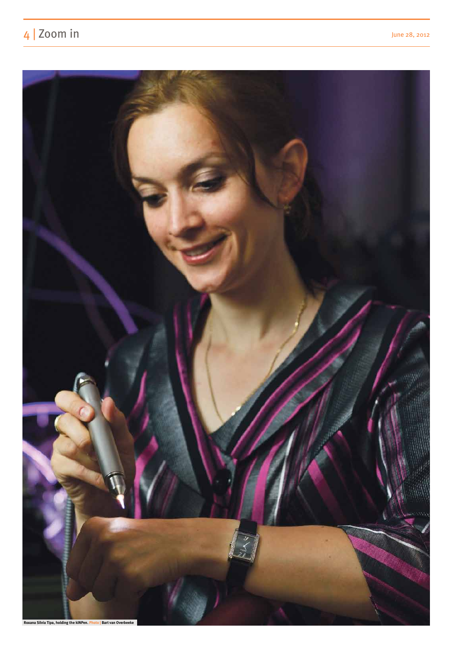# 4 | Zoom in June 28, 2012